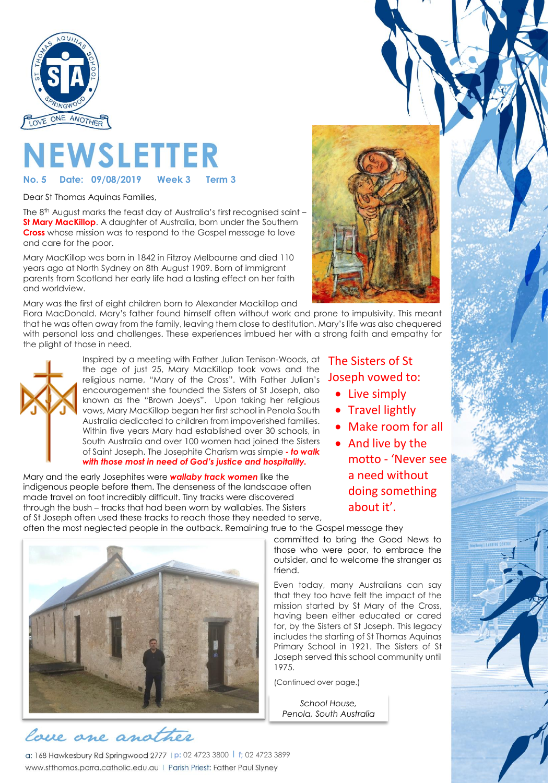

# **NEWSLETTER**

**Date: 09/08/2019** 

Dear St Thomas Aquinas Families,

The 8 th August marks the feast day of Australia's first recognised saint – **St Mary MacKillop**. A daughter of Australia, born under the Southern **Cross** whose mission was to respond to the Gospel message to love and care for the poor.

Mary MacKillop was born in 1842 in Fitzroy Melbourne and died 110 years ago at North Sydney on 8th August 1909. Born of immigrant parents from Scotland her early life had a lasting effect on her faith and worldview.

Mary was the first of eight children born to Alexander Mackillop and

Flora MacDonald. Mary's father found himself often without work and prone to impulsivity. This meant that he was often away from the family, leaving them close to destitution. Mary's life was also chequered with personal loss and challenges. These experiences imbued her with a strong faith and empathy for the plight of those in need.



Inspired by a meeting with Father Julian Tenison-Woods, at the age of just 25, Mary MacKillop took vows and the religious name, "Mary of the Cross". With Father Julian's encouragement she founded the Sisters of St Joseph, also known as the "Brown Joeys". Upon taking her religious vows, Mary MacKillop began her first school in Penola South Australia dedicated to children from impoverished families. Within five years Mary had established over 30 schools, in South Australia and over 100 women had joined the Sisters of Saint Joseph. The Josephite Charism was simple **-** *to walk with those most in need of God's justice and hospitality.*

Mary and the early Josephites were *wallaby track women* like the indigenous people before them. The denseness of the landscape often made travel on foot incredibly difficult. Tiny tracks were discovered through the bush – tracks that had been worn by wallabies. The Sisters of St Joseph often used these tracks to reach those they needed to serve,



- Live simply
- Travel lightly
- Make room for all

• And live by the motto - 'Never see a need without doing something about it'.

often the most neglected people in the outback. Remaining true to the Gospel message they

committed to bring the Good News to those who were poor, to embrace the outsider, and to welcome the stranger as friend.

Even today, many Australians can say that they too have felt the impact of the mission started by St Mary of the Cross, having been either educated or cared for, by the Sisters of St Joseph. This legacy includes the starting of St Thomas Aquinas Primary School in 1921. The Sisters of St Joseph served this school community until 1975.

(Continued over page.)

*School House, Penola, South Australia*



## lace one another

**p:** 02 4723 3800 l **f;** 02 4723 3899 www.stthomas.parra.catholic.edu.au | Parish Priest: Father Paul Slyney

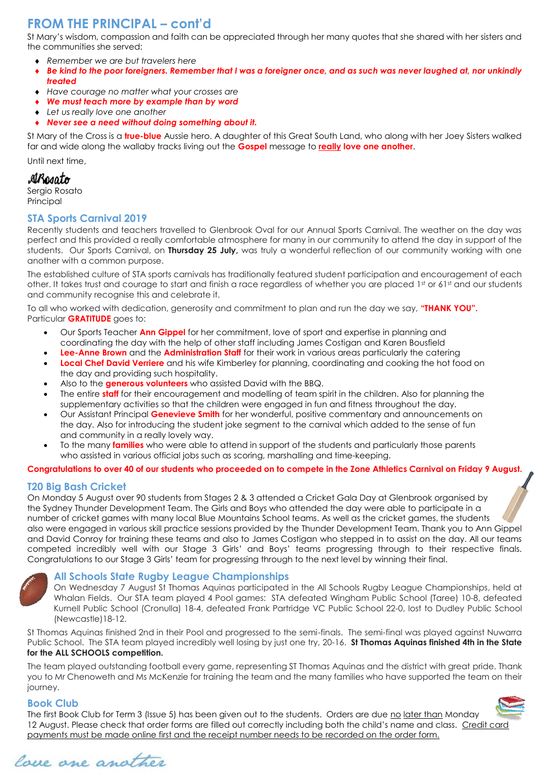## **FROM THE PRINCIPAL – cont'd**

St Mary's wisdom, compassion and faith can be appreciated through her many quotes that she shared with her sisters and the communities she served:

- *Remember we are but travelers here*
- *Be kind to the poor foreigners. Remember that I was a foreigner once, and as such was never laughed at, nor unkindly treated*
- *Have courage no matter what your crosses are*
- *We must teach more by example than by word*
- *Let us really love one another*
- *Never see a need without doing something about it.*

St Mary of the Cross is a **true-blue** Aussie hero. A daughter of this Great South Land, who along with her Joey Sisters walked far and wide along the wallaby tracks living out the **Gospel** message to **really love one another**.

Until next time,

#### ARosato

Sergio Rosato Principal

#### **STA Sports Carnival 2019**

Recently students and teachers travelled to Glenbrook Oval for our Annual Sports Carnival. The weather on the day was perfect and this provided a really comfortable atmosphere for many in our community to attend the day in support of the students. Our Sports Carnival, on **Thursday 25 July,** was truly a wonderful reflection of our community working with one another with a common purpose.

The established culture of STA sports carnivals has traditionally featured student participation and encouragement of each other. It takes trust and courage to start and finish a race regardless of whether you are placed 1st or 61st and our students and community recognise this and celebrate it.

To all who worked with dedication, generosity and commitment to plan and run the day we say, **"THANK YOU".** Particular **GRATITUDE** goes to:

- Our Sports Teacher **Ann Gippel** for her commitment, love of sport and expertise in planning and coordinating the day with the help of other staff including James Costigan and Karen Bousfield
- **Lee-Anne Brown** and the **Administration Staff** for their work in various areas particularly the catering • **Local Chef David Verriere** and his wife Kimberley for planning, coordinating and cooking the hot food on the day and providing such hospitality.
- Also to the **generous volunteers** who assisted David with the BBQ.
- The entire **staff** for their encouragement and modelling of team spirit in the children. Also for planning the supplementary activities so that the children were engaged in fun and fitness throughout the day.
- Our Assistant Principal **Genevieve Smith** for her wonderful, positive commentary and announcements on the day. Also for introducing the student joke segment to the carnival which added to the sense of fun and community in a really lovely way.
- To the many **families** who were able to attend in support of the students and particularly those parents who assisted in various official jobs such as scoring, marshalling and time-keeping.

#### **Congratulations to over 40 of our students who proceeded on to compete in the Zone Athletics Carnival on Friday 9 August.**

#### **T20 Big Bash Cricket**

On Monday 5 August over 90 students from Stages 2 & 3 attended a Cricket Gala Day at Glenbrook organised by the Sydney Thunder Development Team. The Girls and Boys who attended the day were able to participate in a number of cricket games with many local Blue Mountains School teams. As well as the cricket games, the students also were engaged in various skill practice sessions provided by the Thunder Development Team. Thank you to Ann Gippel and David Conroy for training these teams and also to James Costigan who stepped in to assist on the day. All our teams competed incredibly well with our Stage 3 Girls' and Boys' teams progressing through to their respective finals. Congratulations to our Stage 3 Girls' team for progressing through to the next level by winning their final.



#### **All Schools State Rugby League Championships**

On Wednesday 7 August St Thomas Aquinas participated in the All Schools Rugby League Championships, held at Whalan Fields. Our STA team played 4 Pool games: STA defeated Wingham Public School (Taree) 10-8, defeated Kurnell Public School (Cronulla) 18-4, defeated Frank Partridge VC Public School 22-0, lost to Dudley Public School (Newcastle)18-12.

St Thomas Aquinas finished 2nd in their Pool and progressed to the semi-finals. The semi-final was played against Nuwarra Public School. The STA team played incredibly well losing by just one try, 20-16. **St Thomas Aquinas finished 4th in the State for the ALL SCHOOLS competition.**

The team played outstanding football every game, representing ST Thomas Aquinas and the district with great pride. Thank you to Mr Chenoweth and Ms McKenzie for training the team and the many families who have supported the team on their journey.

#### **Book Club**

The first Book Club for Term 3 (Issue 5) has been given out to the students. Orders are due no later than Monday 12 August. Please check that order forms are filled out correctly including both the child's name and class. Credit card payments must be made online first and the receipt number needs to be recorded on the order form.



love one another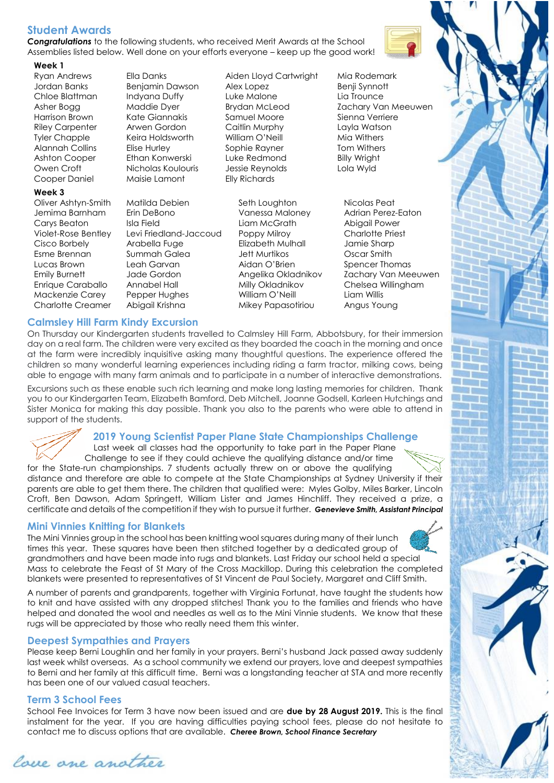#### **Student Awards**

*Congratulations* to the following students, who received Merit Awards at the School Assemblies listed below. Well done on your efforts everyone – keep up the good work!

#### **Week 1**

Ryan Andrews Ella Danks Aiden Lloyd Cartwright Mia Rodemark Cooper Daniel Maisie Lamont Elly Richards

#### **Week 3**

Oliver Ashtyn-Smith Matilda Debien Seth Loughton Nicolas Peat

Jemima Barnham Erin DeBono Vanessa Maloney Adrian Perez-Eaton Carys Beaton Isla Field Liam McGrath Abigail Power Violet-Rose Bentley Levi Friedland-Jaccoud Poppy Milroy Charlotte Priest Cisco Borbely Arabella Fuge Elizabeth Mulhall Jamie Sharp Esme Brennan Summah Galea Jett Murtikos Oscar Smith Lucas Brown Leah Garvan Aidan O'Brien Spencer Thomas Emily Burnett Jade Gordon Angelika Okladnikov Zachary Van Meeuwen Enrique Caraballo Annabel Hall Milly Okladnikov Chelsea Willingham Mackenzie Carey Pepper Hughes William O'Neill Liam Willis Charlotte Creamer Abigail Krishna Mikey Papasotiriou Angus Young

Jordan Banks Benjamin Dawson Alex Lopez Benji Synnott Chloe Blattman Indyana Duffy Luke Malone Lia Trounce Harrison Brown Kate Giannakis Samuel Moore Sienna Verriere Riley Carpenter Arwen Gordon Caitlin Murphy Layla Watson Tyler Chapple Keira Holdsworth William O'Neill Mia Withers Alannah Collins Elise Hurley Sophie Rayner Tom Withers Ashton Cooper Ethan Konwerski Luke Redmond Billy Wright Owen Croft Nicholas Koulouris Jessie Reynolds Lola Wyld

Asher Bogg Maddie Dyer Brydan McLeod Zachary Van Meeuwen

#### **Calmsley Hill Farm Kindy Excursion**

On Thursday our Kindergarten students travelled to Calmsley Hill Farm, Abbotsbury, for their immersion day on a real farm. The children were very excited as they boarded the coach in the morning and once at the farm were incredibly inquisitive asking many thoughtful questions. The experience offered the children so many wonderful learning experiences including riding a farm tractor, milking cows, being able to engage with many farm animals and to participate in a number of interactive demonstrations.

Excursions such as these enable such rich learning and make long lasting memories for children. Thank you to our Kindergarten Team, Elizabeth Bamford, Deb Mitchell, Joanne Godsell, Karleen Hutchings and Sister Monica for making this day possible. Thank you also to the parents who were able to attend in support of the students.

### **2019 Young Scientist Paper Plane State Championships Challenge**

Last week all classes had the opportunity to take part in the Paper Plane Challenge to see if they could achieve the qualifying distance and/or time for the State-run championships. 7 students actually threw on or above the qualifying

distance and therefore are able to compete at the State Championships at Sydney University if their parents are able to get them there. The children that qualified were: Myles Golby, Miles Barker, Lincoln Croft, Ben Dawson, Adam Springett, William Lister and James Hinchliff. They received a prize, a certificate and details of the competition if they wish to pursue it further. *Genevieve Smith, Assistant Principal*

#### **Mini Vinnies Knitting for Blankets**

The Mini Vinnies group in the school has been knitting wool squares during many of their lunch times this year. These squares have been then stitched together by a dedicated group of grandmothers and have been made into rugs and blankets. Last Friday our school held a special Mass to celebrate the Feast of St Mary of the Cross Mackillop. During this celebration the completed blankets were presented to representatives of St Vincent de Paul Society, Margaret and Cliff Smith.

A number of parents and grandparents, together with Virginia Fortunat, have taught the students how to knit and have assisted with any dropped stitches! Thank you to the families and friends who have helped and donated the wool and needles as well as to the Mini Vinnie students. We know that these rugs will be appreciated by those who really need them this winter.

#### **Deepest Sympathies and Prayers**

Please keep Berni Loughlin and her family in your prayers. Berni's husband Jack passed away suddenly last week whilst overseas. As a school community we extend our prayers, love and deepest sympathies to Berni and her family at this difficult time. Berni was a longstanding teacher at STA and more recently has been one of our valued casual teachers.

#### **Term 3 School Fees**

School Fee Invoices for Term 3 have now been issued and are **due by 28 August 2019.** This is the final instalment for the year. If you are having difficulties paying school fees, please do not hesitate to contact me to discuss options that are available. *Cheree Brown, School Finance Secretary*





lace ane another